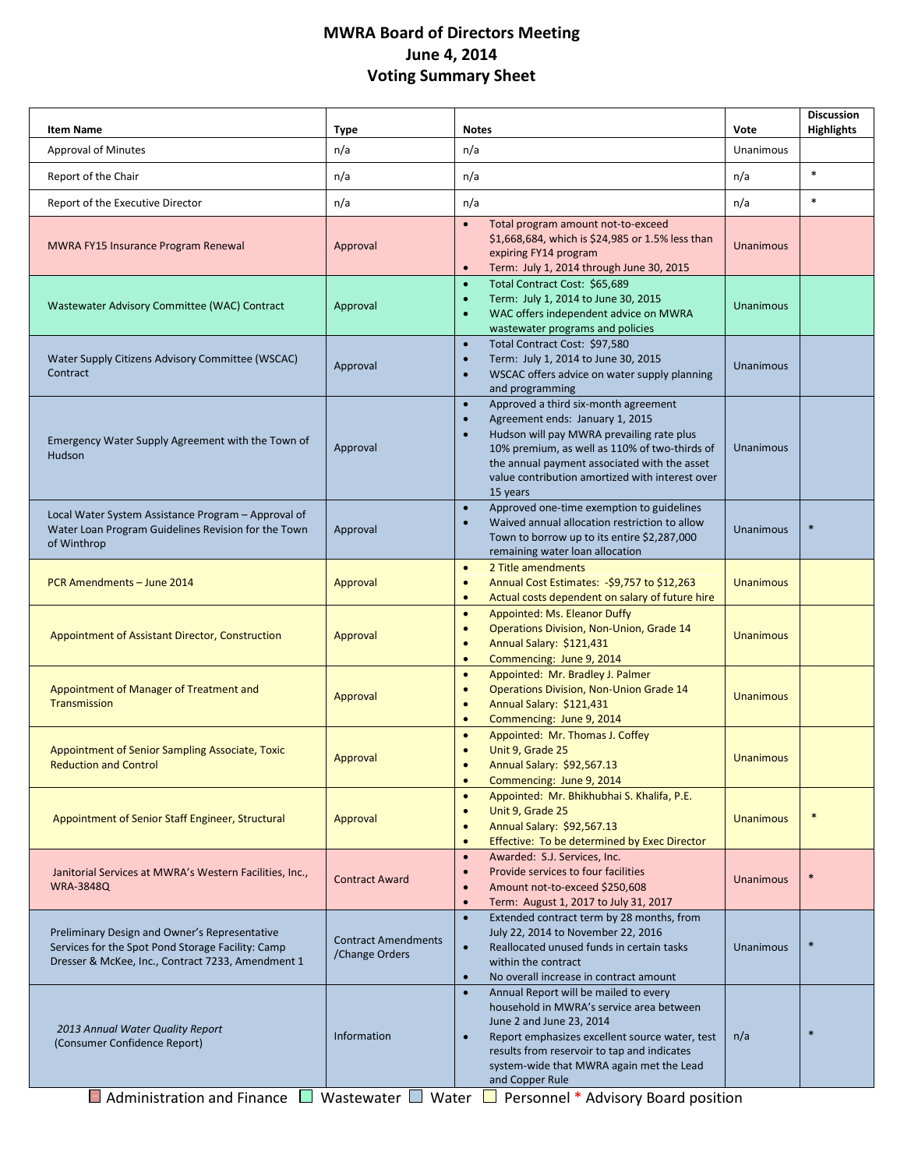# **MWRA Board of Directors Meeting June 4, 2014 Voting Summary Sheet**

| <b>Item Name</b>                                                                                                                                        | Type                                         | <b>Notes</b>                                                                                                                                                                                                                                                                                                                      | Vote             | <b>Discussion</b><br><b>Highlights</b> |
|---------------------------------------------------------------------------------------------------------------------------------------------------------|----------------------------------------------|-----------------------------------------------------------------------------------------------------------------------------------------------------------------------------------------------------------------------------------------------------------------------------------------------------------------------------------|------------------|----------------------------------------|
| <b>Approval of Minutes</b>                                                                                                                              | n/a                                          | n/a                                                                                                                                                                                                                                                                                                                               | Unanimous        |                                        |
| Report of the Chair                                                                                                                                     | n/a                                          | n/a                                                                                                                                                                                                                                                                                                                               | n/a              | $\ast$                                 |
| Report of the Executive Director                                                                                                                        | n/a                                          | n/a                                                                                                                                                                                                                                                                                                                               | n/a              | $\ast$                                 |
| MWRA FY15 Insurance Program Renewal                                                                                                                     | Approval                                     | Total program amount not-to-exceed<br>$\bullet$<br>\$1,668,684, which is \$24,985 or 1.5% less than<br>expiring FY14 program<br>Term: July 1, 2014 through June 30, 2015<br>$\bullet$                                                                                                                                             | Unanimous        |                                        |
| Wastewater Advisory Committee (WAC) Contract                                                                                                            | Approval                                     | Total Contract Cost: \$65,689<br>$\bullet$<br>Term: July 1, 2014 to June 30, 2015<br>$\bullet$<br>WAC offers independent advice on MWRA<br>$\bullet$<br>wastewater programs and policies                                                                                                                                          | Unanimous        |                                        |
| Water Supply Citizens Advisory Committee (WSCAC)<br>Contract                                                                                            | Approval                                     | Total Contract Cost: \$97,580<br>$\bullet$<br>Term: July 1, 2014 to June 30, 2015<br>$\bullet$<br>WSCAC offers advice on water supply planning<br>$\bullet$<br>and programming                                                                                                                                                    | Unanimous        |                                        |
| Emergency Water Supply Agreement with the Town of<br>Hudson                                                                                             | Approval                                     | Approved a third six-month agreement<br>$\bullet$<br>Agreement ends: January 1, 2015<br>$\bullet$<br>Hudson will pay MWRA prevailing rate plus<br>10% premium, as well as 110% of two-thirds of<br>the annual payment associated with the asset<br>value contribution amortized with interest over<br>15 years                    | <b>Unanimous</b> |                                        |
| Local Water System Assistance Program - Approval of<br>Water Loan Program Guidelines Revision for the Town<br>of Winthrop                               | Approval                                     | Approved one-time exemption to guidelines<br>$\bullet$<br>Waived annual allocation restriction to allow<br>Town to borrow up to its entire \$2,287,000<br>remaining water loan allocation                                                                                                                                         | Unanimous        | $\ast$                                 |
| PCR Amendments - June 2014                                                                                                                              | Approval                                     | 2 Title amendments<br>$\bullet$<br>Annual Cost Estimates: - \$9,757 to \$12,263<br>$\bullet$<br>Actual costs dependent on salary of future hire<br>$\bullet$                                                                                                                                                                      | <b>Unanimous</b> |                                        |
| Appointment of Assistant Director, Construction                                                                                                         | Approval                                     | Appointed: Ms. Eleanor Duffy<br>$\bullet$<br>Operations Division, Non-Union, Grade 14<br>$\bullet$<br>Annual Salary: \$121,431<br>$\bullet$<br>Commencing: June 9, 2014<br>$\bullet$                                                                                                                                              | <b>Unanimous</b> |                                        |
| Appointment of Manager of Treatment and<br>Transmission                                                                                                 | Approval                                     | Appointed: Mr. Bradley J. Palmer<br>$\bullet$<br><b>Operations Division, Non-Union Grade 14</b><br>Annual Salary: \$121,431<br>$\bullet$<br>Commencing: June 9, 2014<br>$\bullet$                                                                                                                                                 | <b>Unanimous</b> |                                        |
| Appointment of Senior Sampling Associate, Toxic<br><b>Reduction and Control</b>                                                                         | Approval                                     | Appointed: Mr. Thomas J. Coffey<br>$\bullet$<br>Unit 9, Grade 25<br>$\bullet$<br>Annual Salary: \$92,567.13<br>$\bullet$<br>Commencing: June 9, 2014<br>$\bullet$                                                                                                                                                                 | <b>Unanimous</b> |                                        |
| Appointment of Senior Staff Engineer, Structural                                                                                                        | Approval                                     | Appointed: Mr. Bhikhubhai S. Khalifa, P.E.<br>$\bullet$<br>Unit 9, Grade 25<br>$\bullet$<br>Annual Salary: \$92,567.13<br>$\bullet$<br>Effective: To be determined by Exec Director                                                                                                                                               | <b>Unanimous</b> | $\ast$                                 |
| Janitorial Services at MWRA's Western Facilities, Inc.,<br><b>WRA-3848Q</b>                                                                             | <b>Contract Award</b>                        | Awarded: S.J. Services, Inc.<br>$\bullet$<br>Provide services to four facilities<br>$\bullet$<br>Amount not-to-exceed \$250,608<br>$\bullet$<br>Term: August 1, 2017 to July 31, 2017<br>$\bullet$                                                                                                                                | Unanimous        | $\ast$                                 |
| Preliminary Design and Owner's Representative<br>Services for the Spot Pond Storage Facility: Camp<br>Dresser & McKee, Inc., Contract 7233, Amendment 1 | <b>Contract Amendments</b><br>/Change Orders | Extended contract term by 28 months, from<br>$\bullet$<br>July 22, 2014 to November 22, 2016<br>Reallocated unused funds in certain tasks<br>within the contract<br>No overall increase in contract amount<br>$\bullet$                                                                                                           | Unanimous        | $\ast$                                 |
| 2013 Annual Water Quality Report<br>(Consumer Confidence Report)<br>$\Box$ Administration and Finance                                                   | Information<br>Wastewater $\Box$<br>Water    | Annual Report will be mailed to every<br>$\bullet$<br>household in MWRA's service area between<br>June 2 and June 23, 2014<br>Report emphasizes excellent source water, test<br>results from reservoir to tap and indicates<br>system-wide that MWRA again met the Lead<br>and Copper Rule<br>Personnel * Advisory Board position | n/a              | $\ast$                                 |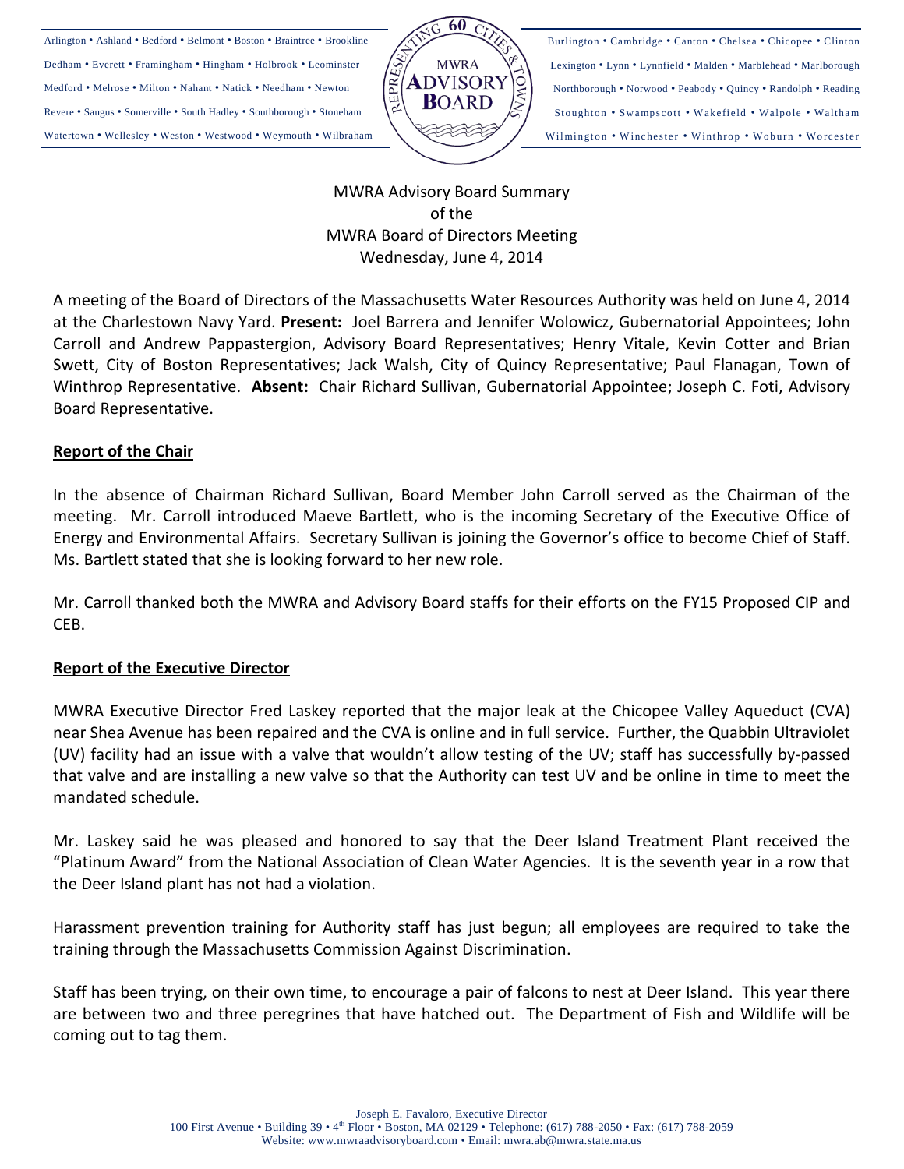Arlington • Ashland • Bedford • Belmont • Boston • Braintree • Brookline Dedham • Everett • Framingham • Hingham • Holbrook • Leominster Medford • Melrose • Milton • Nahant • Natick • Needham • Newton Revere • Saugus • Somerville • South Hadley • Southborough • Stoneham Watertown • Wellesley • Weston • Westwood • Weymouth • Wilbraham



Burlington • Cambridge • Canton • Chelsea • Chicopee • Clinton Lexington • Lynn • Lynnfield • Malden • Marblehead • Marlborough Northborough • Norwood • Peabody • Quincy • Randolph • Reading Stoughton • Swampscott • Wakefield • Walpole • Waltham Wilmington • Winchester • Winthrop • Woburn • Worcester

MWRA Advisory Board Summary of the MWRA Board of Directors Meeting Wednesday, June 4, 2014

A meeting of the Board of Directors of the Massachusetts Water Resources Authority was held on June 4, 2014 at the Charlestown Navy Yard. **Present:** Joel Barrera and Jennifer Wolowicz, Gubernatorial Appointees; John Carroll and Andrew Pappastergion, Advisory Board Representatives; Henry Vitale, Kevin Cotter and Brian Swett, City of Boston Representatives; Jack Walsh, City of Quincy Representative; Paul Flanagan, Town of Winthrop Representative. **Absent:** Chair Richard Sullivan, Gubernatorial Appointee; Joseph C. Foti, Advisory Board Representative.

## **Report of the Chair**

In the absence of Chairman Richard Sullivan, Board Member John Carroll served as the Chairman of the meeting. Mr. Carroll introduced Maeve Bartlett, who is the incoming Secretary of the Executive Office of Energy and Environmental Affairs. Secretary Sullivan is joining the Governor's office to become Chief of Staff. Ms. Bartlett stated that she is looking forward to her new role.

Mr. Carroll thanked both the MWRA and Advisory Board staffs for their efforts on the FY15 Proposed CIP and CEB.

## **Report of the Executive Director**

MWRA Executive Director Fred Laskey reported that the major leak at the Chicopee Valley Aqueduct (CVA) near Shea Avenue has been repaired and the CVA is online and in full service. Further, the Quabbin Ultraviolet (UV) facility had an issue with a valve that wouldn't allow testing of the UV; staff has successfully by-passed that valve and are installing a new valve so that the Authority can test UV and be online in time to meet the mandated schedule.

Mr. Laskey said he was pleased and honored to say that the Deer Island Treatment Plant received the "Platinum Award" from the National Association of Clean Water Agencies. It is the seventh year in a row that the Deer Island plant has not had a violation.

Harassment prevention training for Authority staff has just begun; all employees are required to take the training through the Massachusetts Commission Against Discrimination.

Staff has been trying, on their own time, to encourage a pair of falcons to nest at Deer Island. This year there are between two and three peregrines that have hatched out. The Department of Fish and Wildlife will be coming out to tag them.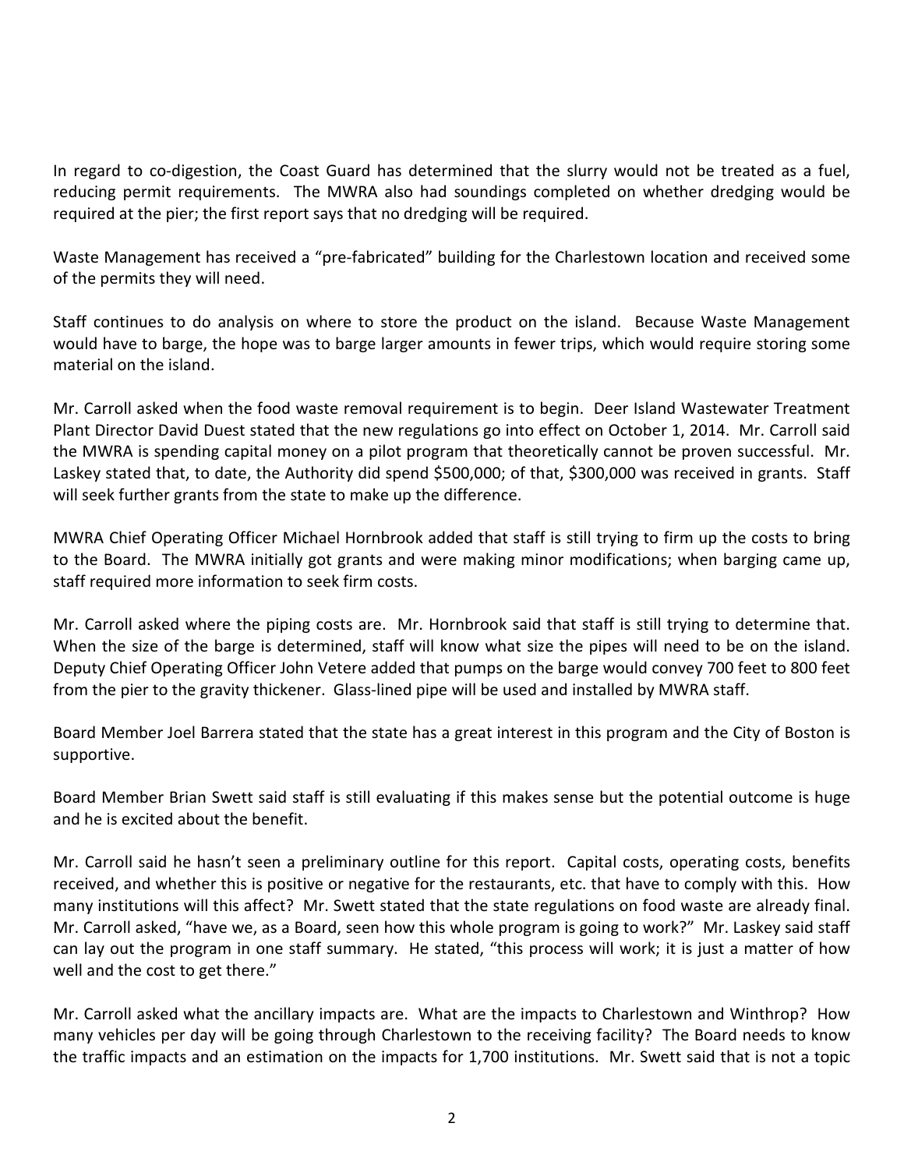In regard to co-digestion, the Coast Guard has determined that the slurry would not be treated as a fuel, reducing permit requirements. The MWRA also had soundings completed on whether dredging would be required at the pier; the first report says that no dredging will be required.

Waste Management has received a "pre-fabricated" building for the Charlestown location and received some of the permits they will need.

Staff continues to do analysis on where to store the product on the island. Because Waste Management would have to barge, the hope was to barge larger amounts in fewer trips, which would require storing some material on the island.

Mr. Carroll asked when the food waste removal requirement is to begin. Deer Island Wastewater Treatment Plant Director David Duest stated that the new regulations go into effect on October 1, 2014. Mr. Carroll said the MWRA is spending capital money on a pilot program that theoretically cannot be proven successful. Mr. Laskey stated that, to date, the Authority did spend \$500,000; of that, \$300,000 was received in grants. Staff will seek further grants from the state to make up the difference.

MWRA Chief Operating Officer Michael Hornbrook added that staff is still trying to firm up the costs to bring to the Board. The MWRA initially got grants and were making minor modifications; when barging came up, staff required more information to seek firm costs.

Mr. Carroll asked where the piping costs are. Mr. Hornbrook said that staff is still trying to determine that. When the size of the barge is determined, staff will know what size the pipes will need to be on the island. Deputy Chief Operating Officer John Vetere added that pumps on the barge would convey 700 feet to 800 feet from the pier to the gravity thickener. Glass-lined pipe will be used and installed by MWRA staff.

Board Member Joel Barrera stated that the state has a great interest in this program and the City of Boston is supportive.

Board Member Brian Swett said staff is still evaluating if this makes sense but the potential outcome is huge and he is excited about the benefit.

Mr. Carroll said he hasn't seen a preliminary outline for this report. Capital costs, operating costs, benefits received, and whether this is positive or negative for the restaurants, etc. that have to comply with this. How many institutions will this affect? Mr. Swett stated that the state regulations on food waste are already final. Mr. Carroll asked, "have we, as a Board, seen how this whole program is going to work?" Mr. Laskey said staff can lay out the program in one staff summary. He stated, "this process will work; it is just a matter of how well and the cost to get there."

Mr. Carroll asked what the ancillary impacts are. What are the impacts to Charlestown and Winthrop? How many vehicles per day will be going through Charlestown to the receiving facility? The Board needs to know the traffic impacts and an estimation on the impacts for 1,700 institutions. Mr. Swett said that is not a topic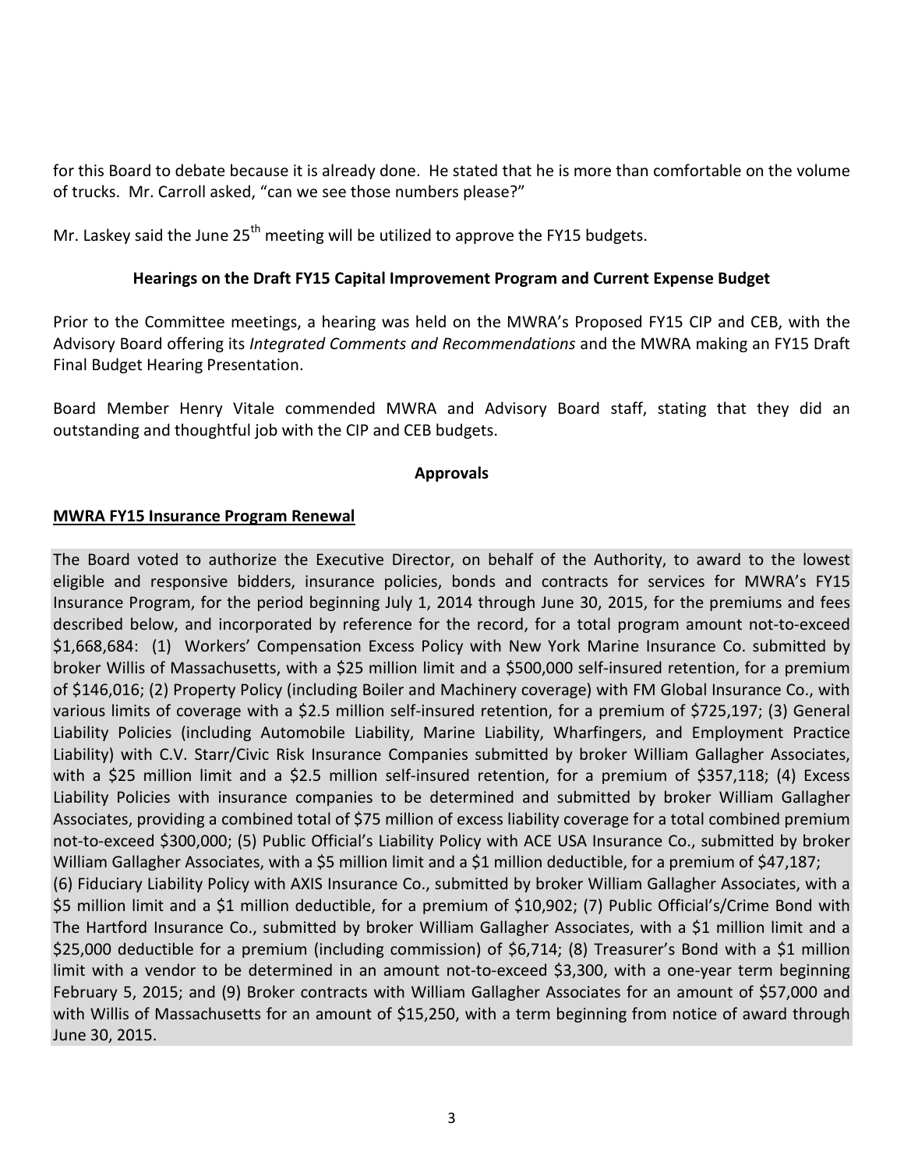for this Board to debate because it is already done. He stated that he is more than comfortable on the volume of trucks. Mr. Carroll asked, "can we see those numbers please?"

Mr. Laskey said the June  $25<sup>th</sup>$  meeting will be utilized to approve the FY15 budgets.

## **Hearings on the Draft FY15 Capital Improvement Program and Current Expense Budget**

Prior to the Committee meetings, a hearing was held on the MWRA's Proposed FY15 CIP and CEB, with the Advisory Board offering its *Integrated Comments and Recommendations* and the MWRA making an FY15 Draft Final Budget Hearing Presentation.

Board Member Henry Vitale commended MWRA and Advisory Board staff, stating that they did an outstanding and thoughtful job with the CIP and CEB budgets.

## **Approvals**

## **MWRA FY15 Insurance Program Renewal**

June 30, 2015.

The Board voted to authorize the Executive Director, on behalf of the Authority, to award to the lowest eligible and responsive bidders, insurance policies, bonds and contracts for services for MWRA's FY15 Insurance Program, for the period beginning July 1, 2014 through June 30, 2015, for the premiums and fees described below, and incorporated by reference for the record, for a total program amount not-to-exceed \$1,668,684: (1) Workers' Compensation Excess Policy with New York Marine Insurance Co. submitted by broker Willis of Massachusetts, with a \$25 million limit and a \$500,000 self-insured retention, for a premium of \$146,016; (2) Property Policy (including Boiler and Machinery coverage) with FM Global Insurance Co., with various limits of coverage with a \$2.5 million self-insured retention, for a premium of \$725,197; (3) General Liability Policies (including Automobile Liability, Marine Liability, Wharfingers, and Employment Practice Liability) with C.V. Starr/Civic Risk Insurance Companies submitted by broker William Gallagher Associates, with a \$25 million limit and a \$2.5 million self-insured retention, for a premium of \$357,118; (4) Excess Liability Policies with insurance companies to be determined and submitted by broker William Gallagher Associates, providing a combined total of \$75 million of excess liability coverage for a total combined premium not-to-exceed \$300,000; (5) Public Official's Liability Policy with ACE USA Insurance Co., submitted by broker William Gallagher Associates, with a \$5 million limit and a \$1 million deductible, for a premium of \$47,187; (6) Fiduciary Liability Policy with AXIS Insurance Co., submitted by broker William Gallagher Associates, with a \$5 million limit and a \$1 million deductible, for a premium of \$10,902; (7) Public Official's/Crime Bond with The Hartford Insurance Co., submitted by broker William Gallagher Associates, with a \$1 million limit and a \$25,000 deductible for a premium (including commission) of \$6,714; (8) Treasurer's Bond with a \$1 million limit with a vendor to be determined in an amount not-to-exceed \$3,300, with a one-year term beginning February 5, 2015; and (9) Broker contracts with William Gallagher Associates for an amount of \$57,000 and with Willis of Massachusetts for an amount of \$15,250, with a term beginning from notice of award through

3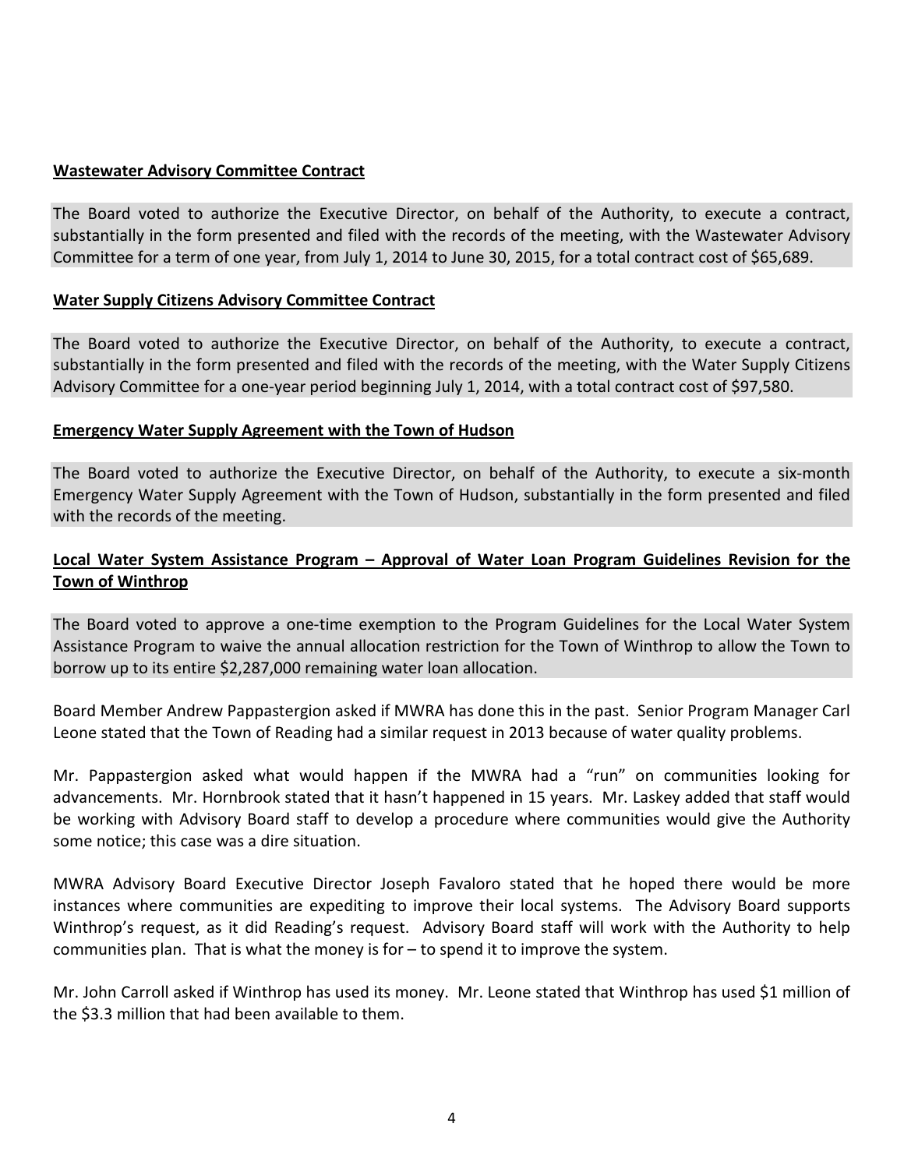#### **Wastewater Advisory Committee Contract**

The Board voted to authorize the Executive Director, on behalf of the Authority, to execute a contract, substantially in the form presented and filed with the records of the meeting, with the Wastewater Advisory Committee for a term of one year, from July 1, 2014 to June 30, 2015, for a total contract cost of \$65,689.

#### **Water Supply Citizens Advisory Committee Contract**

The Board voted to authorize the Executive Director, on behalf of the Authority, to execute a contract, substantially in the form presented and filed with the records of the meeting, with the Water Supply Citizens Advisory Committee for a one-year period beginning July 1, 2014, with a total contract cost of \$97,580.

#### **Emergency Water Supply Agreement with the Town of Hudson**

The Board voted to authorize the Executive Director, on behalf of the Authority, to execute a six-month Emergency Water Supply Agreement with the Town of Hudson, substantially in the form presented and filed with the records of the meeting.

### **Local Water System Assistance Program – Approval of Water Loan Program Guidelines Revision for the Town of Winthrop**

The Board voted to approve a one-time exemption to the Program Guidelines for the Local Water System Assistance Program to waive the annual allocation restriction for the Town of Winthrop to allow the Town to borrow up to its entire \$2,287,000 remaining water loan allocation.

Board Member Andrew Pappastergion asked if MWRA has done this in the past. Senior Program Manager Carl Leone stated that the Town of Reading had a similar request in 2013 because of water quality problems.

Mr. Pappastergion asked what would happen if the MWRA had a "run" on communities looking for advancements. Mr. Hornbrook stated that it hasn't happened in 15 years. Mr. Laskey added that staff would be working with Advisory Board staff to develop a procedure where communities would give the Authority some notice; this case was a dire situation.

MWRA Advisory Board Executive Director Joseph Favaloro stated that he hoped there would be more instances where communities are expediting to improve their local systems. The Advisory Board supports Winthrop's request, as it did Reading's request. Advisory Board staff will work with the Authority to help communities plan. That is what the money is for – to spend it to improve the system.

Mr. John Carroll asked if Winthrop has used its money. Mr. Leone stated that Winthrop has used \$1 million of the \$3.3 million that had been available to them.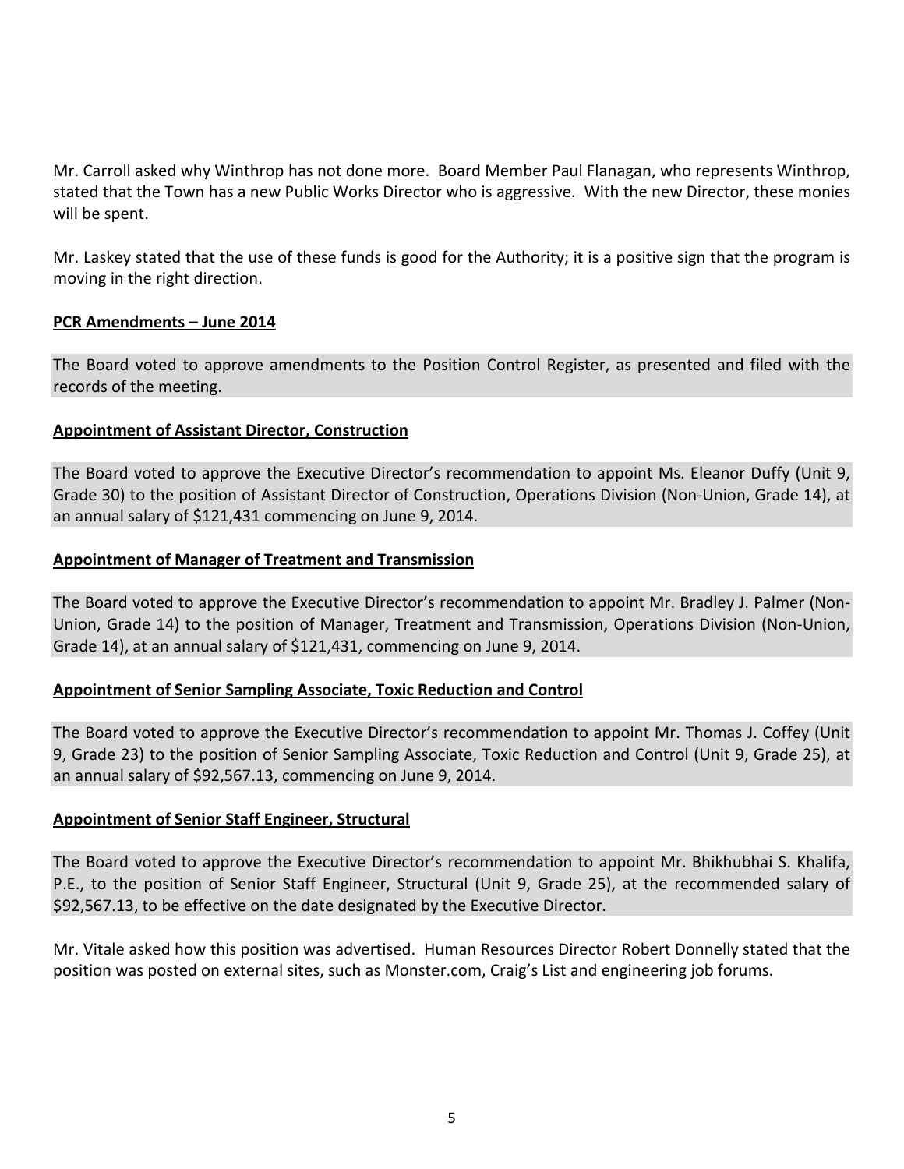Mr. Carroll asked why Winthrop has not done more. Board Member Paul Flanagan, who represents Winthrop, stated that the Town has a new Public Works Director who is aggressive. With the new Director, these monies will be spent.

Mr. Laskey stated that the use of these funds is good for the Authority; it is a positive sign that the program is moving in the right direction.

#### **PCR Amendments – June 2014**

The Board voted to approve amendments to the Position Control Register, as presented and filed with the records of the meeting.

## **Appointment of Assistant Director, Construction**

The Board voted to approve the Executive Director's recommendation to appoint Ms. Eleanor Duffy (Unit 9, Grade 30) to the position of Assistant Director of Construction, Operations Division (Non-Union, Grade 14), at an annual salary of \$121,431 commencing on June 9, 2014.

## **Appointment of Manager of Treatment and Transmission**

The Board voted to approve the Executive Director's recommendation to appoint Mr. Bradley J. Palmer (Non-Union, Grade 14) to the position of Manager, Treatment and Transmission, Operations Division (Non-Union, Grade 14), at an annual salary of \$121,431, commencing on June 9, 2014.

## **Appointment of Senior Sampling Associate, Toxic Reduction and Control**

The Board voted to approve the Executive Director's recommendation to appoint Mr. Thomas J. Coffey (Unit 9, Grade 23) to the position of Senior Sampling Associate, Toxic Reduction and Control (Unit 9, Grade 25), at an annual salary of \$92,567.13, commencing on June 9, 2014.

#### **Appointment of Senior Staff Engineer, Structural**

The Board voted to approve the Executive Director's recommendation to appoint Mr. Bhikhubhai S. Khalifa, P.E., to the position of Senior Staff Engineer, Structural (Unit 9, Grade 25), at the recommended salary of \$92,567.13, to be effective on the date designated by the Executive Director.

Mr. Vitale asked how this position was advertised. Human Resources Director Robert Donnelly stated that the position was posted on external sites, such as Monster.com, Craig's List and engineering job forums.